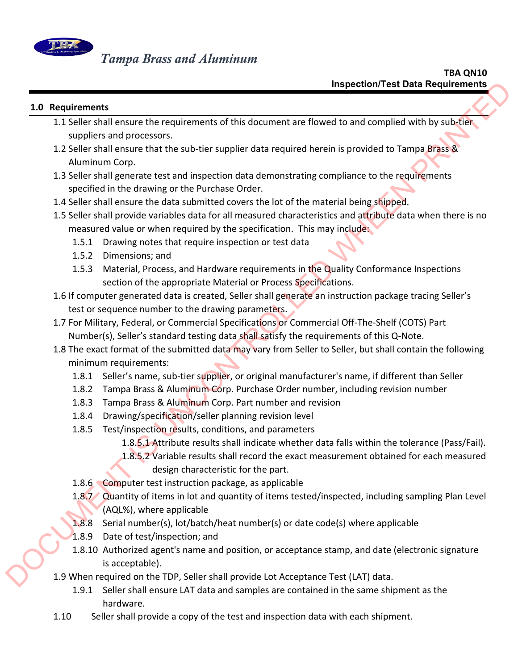

## **1.0 Requirements**

- 1.1 Seller shall ensure the requirements of this document are flowed to and complied with by sub-tier suppliers and processors.
- 1.2 Seller shall ensure that the sub-tier supplier data required herein is provided to Tampa Brass & Aluminum Corp.
- 1.3 Seller shall generate test and inspection data demonstrating compliance to the requirements specified in the drawing or the Purchase Order.
- 1.4 Seller shall ensure the data submitted covers the lot of the material being shipped.
- 1.5 Seller shall provide variables data for all measured characteristics and attribute data when there is no measured value or when required by the specification. This may include: Inspection/Test Data Requirements<br>
1.1 Seller shall ensure the requirements of this document are flowed to and complied with by sub-<br>
1.4 Seller shall ensure that the sub-tler supplier data required herein is provided to
	- 1.5.1 Drawing notes that require inspection or test data
	- 1.5.2 Dimensions; and
	- 1.5.3 Material, Process, and Hardware requirements in the Quality Conformance Inspections section of the appropriate Material or Process Specifications.
	- 1.6 If computer generated data is created, Seller shall generate an instruction package tracing Seller's test or sequence number to the drawing parameters.
	- 1.7 For Military, Federal, or Commercial Specifications or Commercial Off‐The‐Shelf (COTS) Part Number(s), Seller's standard testing data shall satisfy the requirements of this Q-Note.
	- 1.8 The exact format of the submitted data may vary from Seller to Seller, but shall contain the following minimum requirements:
		- 1.8.1 Seller's name, sub-tier supplier, or original manufacturer's name, if different than Seller
		- 1.8.2 Tampa Brass & Aluminum Corp. Purchase Order number, including revision number
		- 1.8.3 Tampa Brass & Aluminum Corp. Part number and revision
		- 1.8.4 Drawing/specification/seller planning revision level
		- 1.8.5 Test/inspection results, conditions, and parameters
			- 1.8.5.1 Attribute results shall indicate whether data falls within the tolerance (Pass/Fail).
			- 1.8.5.2 Variable results shall record the exact measurement obtained for each measured design characteristic for the part.
		- 1.8.6 Computer test instruction package, as applicable
		- 1.8.7 Quantity of items in lot and quantity of items tested/inspected, including sampling Plan Level (AQL%), where applicable
		- 1.8.8 Serial number(s), lot/batch/heat number(s) or date code(s) where applicable
		- 1.8.9 Date of test/inspection; and
		- 1.8.10 Authorized agent's name and position, or acceptance stamp, and date (electronic signature is acceptable).
	- 1.9 When required on the TDP, Seller shall provide Lot Acceptance Test (LAT) data.
		- 1.9.1 Seller shall ensure LAT data and samples are contained in the same shipment as the hardware.
	- 1.10 Seller shall provide a copy of the test and inspection data with each shipment.